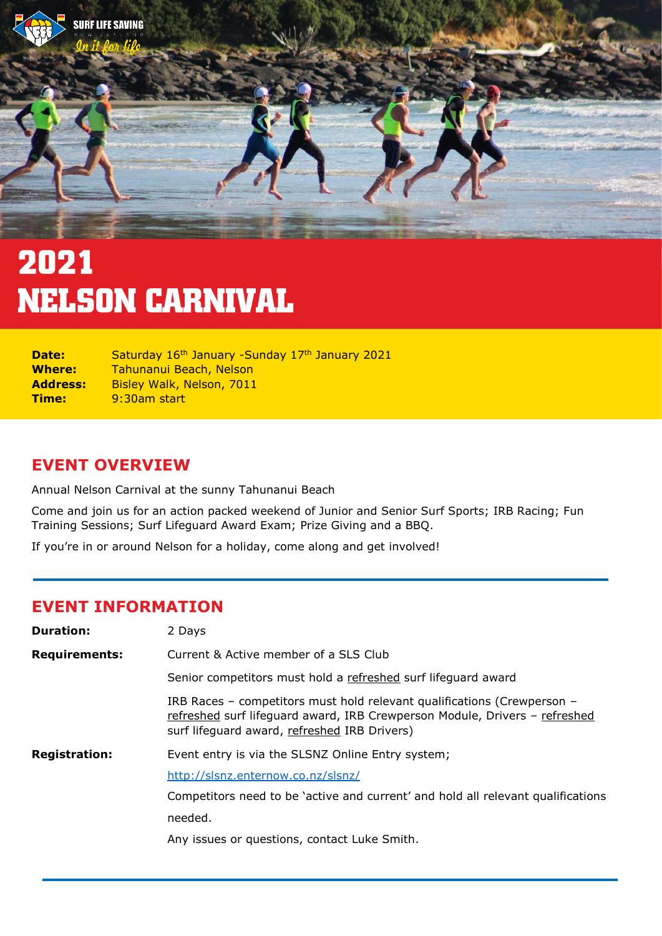

# 2021 **NELSON CARNIVAL**

| Date:           | Saturday 16th January -Sunday 17th January 2021 |
|-----------------|-------------------------------------------------|
| <b>Where:</b>   | Tahunanui Beach, Nelson                         |
| <b>Address:</b> | Bisley Walk, Nelson, 7011                       |
| Time:           | 9:30am start                                    |

### **EVENT OVERVIEW**

Annual Nelson Carnival at the sunny Tahunanui Beach

Come and join us for an action packed weekend of Junior and Senior Surf Sports; IRB Racing; Fun Training Sessions; Surf Lifeguard Award Exam; Prize Giving and a BBQ.

If you're in or around Nelson for a holiday, come along and get involved!

#### **EVENT INFORMATION**

| <b>Duration:</b>     | 2 Days                                                                                                                                                                                                |
|----------------------|-------------------------------------------------------------------------------------------------------------------------------------------------------------------------------------------------------|
| <b>Requirements:</b> | Current & Active member of a SLS Club                                                                                                                                                                 |
|                      | Senior competitors must hold a refreshed surf lifeguard award                                                                                                                                         |
|                      | IRB Races - competitors must hold relevant qualifications (Crewperson -<br>refreshed surf lifeguard award, IRB Crewperson Module, Drivers - refreshed<br>surf lifeguard award, refreshed IRB Drivers) |
| <b>Registration:</b> | Event entry is via the SLSNZ Online Entry system;                                                                                                                                                     |
|                      | http://slsnz.enternow.co.nz/slsnz/                                                                                                                                                                    |
|                      | Competitors need to be 'active and current' and hold all relevant qualifications                                                                                                                      |
|                      | needed.                                                                                                                                                                                               |
|                      | Any issues or questions, contact Luke Smith.                                                                                                                                                          |